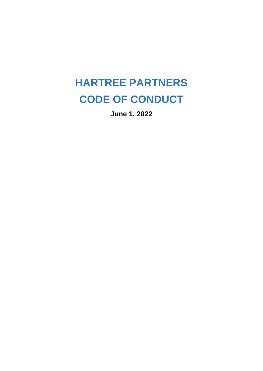# **HARTREE PARTNERS CODE OF CONDUCT**

**June 1, 2022**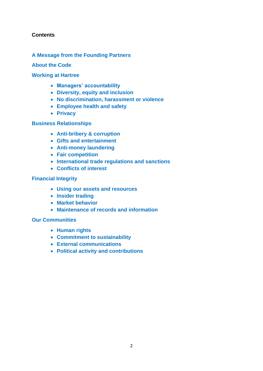## **Contents**

## **A Message from the Founding Partners**

#### **About the Code**

## **Working at Hartree**

- **Managers' accountability**
- **Diversity, equity and inclusion**
- **No discrimination, harassment or violence**
- **Employee health and safety**
- **Privacy**

## **Business Relationships**

- **Anti-bribery & corruption**
- **Gifts and entertainment**
- **Anti-money laundering**
- **Fair competition**
- **International trade regulations and sanctions**
- **Conflicts of interest**

#### **Financial Integrity**

- **Using our assets and resources**
- **Insider trading**
- **Market behavior**
- **Maintenance of records and information**

#### **Our Communities**

- **Human rights**
- **Commitment to sustainability**
- **External communications**
- **Political activity and contributions**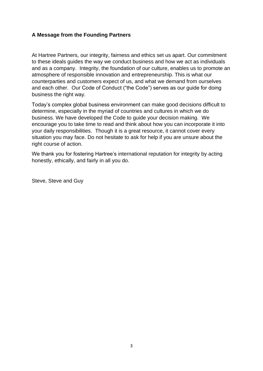## **A Message from the Founding Partners**

At Hartree Partners, our integrity, fairness and ethics set us apart. Our commitment to these ideals guides the way we conduct business and how we act as individuals and as a company. Integrity, the foundation of our culture, enables us to promote an atmosphere of responsible innovation and entrepreneurship. This is what our counterparties and customers expect of us, and what we demand from ourselves and each other. Our Code of Conduct ("the Code") serves as our guide for doing business the right way.

Today's complex global business environment can make good decisions difficult to determine, especially in the myriad of countries and cultures in which we do business. We have developed the Code to guide your decision making. We encourage you to take time to read and think about how you can incorporate it into your daily responsibilities. Though it is a great resource, it cannot cover every situation you may face. Do not hesitate to ask for help if you are unsure about the right course of action.

We thank you for fostering Hartree's international reputation for integrity by acting honestly, ethically, and fairly in all you do.

Steve, Steve and Guy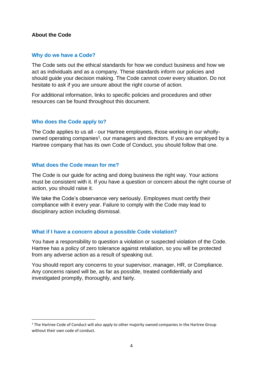## **About the Code**

## **Why do we have a Code?**

The Code sets out the ethical standards for how we conduct business and how we act as individuals and as a company. These standards inform our policies and should guide your decision making. The Code cannot cover every situation. Do not hesitate to ask if you are unsure about the right course of action.

For additional information, links to specific policies and procedures and other resources can be found throughout this document.

#### **Who does the Code apply to?**

The Code applies to us all - our Hartree employees, those working in our whollyowned operating companies<sup>1</sup>, our managers and directors. If you are employed by a Hartree company that has its own Code of Conduct, you should follow that one.

#### **What does the Code mean for me?**

The Code is our guide for acting and doing business the right way. Your actions must be consistent with it. If you have a question or concern about the right course of action, you should raise it.

We take the Code's observance very seriously. Employees must certify their compliance with it every year. Failure to comply with the Code may lead to disciplinary action including dismissal.

## **What if I have a concern about a possible Code violation?**

You have a responsibility to question a violation or suspected violation of the Code. Hartree has a policy of zero tolerance against retaliation, so you will be protected from any adverse action as a result of speaking out.

You should report any concerns to your supervisor, manager, HR, or Compliance. Any concerns raised will be, as far as possible, treated confidentially and investigated promptly, thoroughly, and fairly.

 $1$  The Hartree Code of Conduct will also apply to other majority owned companies in the Hartree Group without their own code of conduct.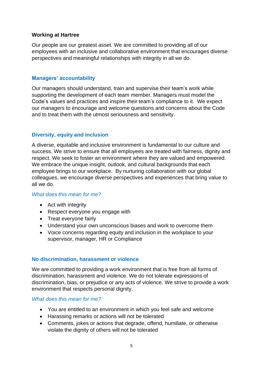## **Working at Hartree**

Our people are our greatest asset. We are committed to providing all of our employees with an inclusive and collaborative environment that encourages diverse perspectives and meaningful relationships with integrity in all we do.

## **Managers' accountability**

Our managers should understand, train and supervise their team's work while supporting the development of each team member. Managers must model the Code's values and practices and inspire their team's compliance to it. We expect our managers to encourage and welcome questions and concerns about the Code and to treat them with the utmost seriousness and sensitivity.

## **Diversity, equity and inclusion**

A diverse, equitable and inclusive environment is fundamental to our culture and success. We strive to ensure that all employees are treated with fairness, dignity and respect. We seek to foster an environment where they are valued and empowered. We embrace the unique insight, outlook, and cultural backgrounds that each employee brings to our workplace. By nurturing collaboration with our global colleagues, we encourage diverse perspectives and experiences that bring value to all we do.

## *What does this mean for me?*

- Act with integrity
- Respect everyone you engage with
- Treat everyone fairly
- Understand your own unconscious biases and work to overcome them
- Voice concerns regarding equity and inclusion in the workplace to your supervisor, manager, HR or Compliance

## **No discrimination, harassment or violence**

We are committed to providing a work environment that is free from all forms of discrimination, harassment and violence. We do not tolerate expressions of discrimination, bias, or prejudice or any acts of violence. We strive to provide a work environment that respects personal dignity.

- You are entitled to an environment in which you feel safe and welcome
- Harassing remarks or actions will not be tolerated
- Comments, jokes or actions that degrade, offend, humiliate, or otherwise violate the dignity of others will not be tolerated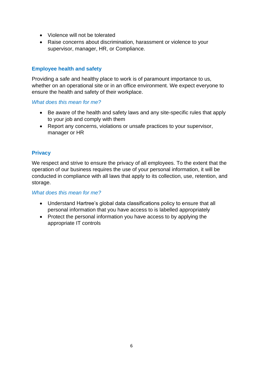- Violence will not be tolerated
- Raise concerns about discrimination, harassment or violence to your supervisor, manager, HR, or Compliance.

## **Employee health and safety**

Providing a safe and healthy place to work is of paramount importance to us, whether on an operational site or in an office environment. We expect everyone to ensure the health and safety of their workplace.

#### *What does this mean for me?*

- Be aware of the health and safety laws and any site-specific rules that apply to your job and comply with them
- Report any concerns, violations or unsafe practices to your supervisor, manager or HR

## **Privacy**

We respect and strive to ensure the privacy of all employees. To the extent that the operation of our business requires the use of your personal information, it will be conducted in compliance with all laws that apply to its collection, use, retention, and storage.

- Understand Hartree's global data classifications policy to ensure that all personal information that you have access to is labelled appropriately
- Protect the personal information you have access to by applying the appropriate IT controls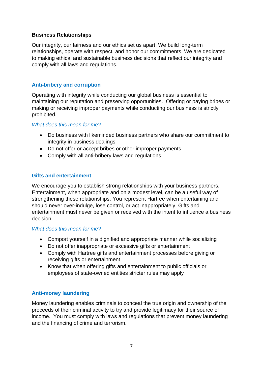## **Business Relationships**

Our integrity, our fairness and our ethics set us apart. We build long-term relationships, operate with respect, and honor our commitments. We are dedicated to making ethical and sustainable business decisions that reflect our integrity and comply with all laws and regulations.

## **Anti-bribery and corruption**

Operating with integrity while conducting our global business is essential to maintaining our reputation and preserving opportunities. Offering or paying bribes or making or receiving improper payments while conducting our business is strictly prohibited.

## *What does this mean for me?*

- Do business with likeminded business partners who share our commitment to integrity in business dealings
- Do not offer or accept bribes or other improper payments
- Comply with all anti-bribery laws and regulations

## **Gifts and entertainment**

We encourage you to establish strong relationships with your business partners. Entertainment, when appropriate and on a modest level, can be a useful way of strengthening these relationships. You represent Hartree when entertaining and should never over-indulge, lose control, or act inappropriately. Gifts and entertainment must never be given or received with the intent to influence a business decision.

## *What does this mean for me?*

- Comport yourself in a dignified and appropriate manner while socializing
- Do not offer inappropriate or excessive gifts or entertainment
- Comply with Hartree gifts and entertainment processes before giving or receiving gifts or entertainment
- Know that when offering gifts and entertainment to public officials or employees of state-owned entities stricter rules may apply

# **Anti-money laundering**

Money laundering enables criminals to conceal the true origin and ownership of the proceeds of their criminal activity to try and provide legitimacy for their source of income. You must comply with laws and regulations that prevent money laundering and the financing of crime and terrorism.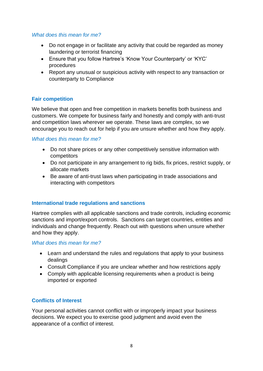## *What does this mean for me?*

- Do not engage in or facilitate any activity that could be regarded as money laundering or terrorist financing
- Ensure that you follow Hartree's 'Know Your Counterparty' or 'KYC' procedures
- Report any unusual or suspicious activity with respect to any transaction or counterparty to Compliance

# **Fair competition**

We believe that open and free competition in markets benefits both business and customers. We compete for business fairly and honestly and comply with anti-trust and competition laws wherever we operate. These laws are complex, so we encourage you to reach out for help if you are unsure whether and how they apply.

## *What does this mean for me?*

- Do not share prices or any other competitively sensitive information with competitors
- Do not participate in any arrangement to rig bids, fix prices, restrict supply, or allocate markets
- Be aware of anti-trust laws when participating in trade associations and interacting with competitors

# **International trade regulations and sanctions**

Hartree complies with all applicable sanctions and trade controls, including economic sanctions and import/export controls. Sanctions can target countries, entities and individuals and change frequently. Reach out with questions when unsure whether and how they apply.

## *What does this mean for me?*

- Learn and understand the rules and regulations that apply to your business dealings
- Consult Compliance if you are unclear whether and how restrictions apply
- Comply with applicable licensing requirements when a product is being imported or exported

# **Conflicts of Interest**

Your personal activities cannot conflict with or improperly impact your business decisions. We expect you to exercise good judgment and avoid even the appearance of a conflict of interest.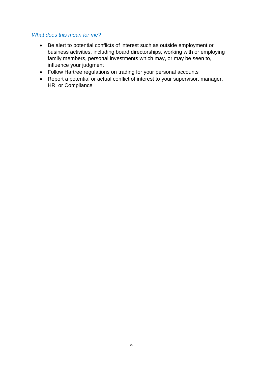- Be alert to potential conflicts of interest such as outside employment or business activities, including board directorships, working with or employing family members, personal investments which may, or may be seen to, influence your judgment
- Follow Hartree regulations on trading for your personal accounts
- Report a potential or actual conflict of interest to your supervisor, manager, HR, or Compliance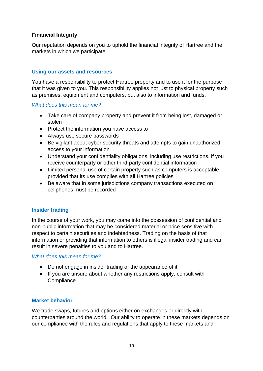# **Financial Integrity**

Our reputation depends on you to uphold the financial integrity of Hartree and the markets in which we participate.

# **Using our assets and resources**

You have a responsibility to protect Hartree property and to use it for the purpose that it was given to you. This responsibility applies not just to physical property such as premises, equipment and computers, but also to information and funds.

# *What does this mean for me?*

- Take care of company property and prevent it from being lost, damaged or stolen
- Protect the information you have access to
- Always use secure passwords
- Be vigilant about cyber security threats and attempts to gain unauthorized access to your information
- Understand your confidentiality obligations, including use restrictions, if you receive counterparty or other third-party confidential information
- Limited personal use of certain property such as computers is acceptable provided that its use complies with all Hartree policies
- Be aware that in some jurisdictions company transactions executed on cellphones must be recorded

# **Insider trading**

In the course of your work, you may come into the possession of confidential and non‐public information that may be considered material or price sensitive with respect to certain securities and indebtedness. Trading on the basis of that information or providing that information to others is illegal insider trading and can result in severe penalties to you and to Hartree.

# *What does this mean for me?*

- Do not engage in insider trading or the appearance of it
- If you are unsure about whether any restrictions apply, consult with **Compliance**

# **Market behavior**

We trade swaps, futures and options either on exchanges or directly with counterparties around the world. Our ability to operate in these markets depends on our compliance with the rules and regulations that apply to these markets and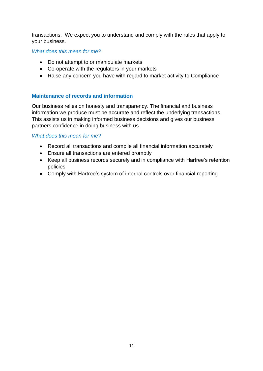transactions. We expect you to understand and comply with the rules that apply to your business.

*What does this mean for me?*

- Do not attempt to or manipulate markets
- Co-operate with the regulators in your markets
- Raise any concern you have with regard to market activity to Compliance

# **Maintenance of records and information**

Our business relies on honesty and transparency. The financial and business information we produce must be accurate and reflect the underlying transactions. This assists us in making informed business decisions and gives our business partners confidence in doing business with us.

- Record all transactions and compile all financial information accurately
- Ensure all transactions are entered promptly
- Keep all business records securely and in compliance with Hartree's retention policies
- Comply with Hartree's system of internal controls over financial reporting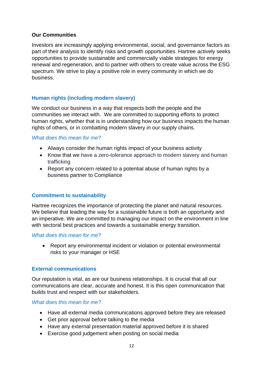## **Our Communities**

Investors are increasingly applying environmental, social, and governance factors as part of their analysis to identify risks and growth opportunities. Hartree actively seeks opportunities to provide sustainable and commercially viable strategies for energy renewal and regeneration, and to partner with others to create value across the ESG spectrum. We strive to play a positive role in every community in which we do business.

# **Human rights (including modern slavery)**

We conduct our business in a way that respects both the people and the communities we interact with. We are committed to supporting efforts to protect human rights, whether that is in understanding how our business impacts the human rights of others, or in combatting modern slavery in our supply chains.

## *What does this mean for me?*

- Always consider the human rights impact of your business activity
- Know that we have a zero-tolerance approach to modern slavery and human trafficking
- Report any concern related to a potential abuse of human rights by a business partner to Compliance

# **Commitment to sustainability**

Hartree recognizes the importance of protecting the planet and natural resources. We believe that leading the way for a sustainable future is both an opportunity and an imperative. We are committed to managing our impact on the environment in line with sectoral best practices and towards a sustainable energy transition.

## *What does this mean for me?*

• Report any environmental incident or violation or potential environmental risks to your manager or HSE

## **External communications**

Our reputation is vital, as are our business relationships. It is crucial that all our communications are clear, accurate and honest. It is this open communication that builds trust and respect with our stakeholders.

- Have all external media communications approved before they are released
- Get prior approval before talking to the media
- Have any external presentation material approved before it is shared
- Exercise good judgement when posting on social media